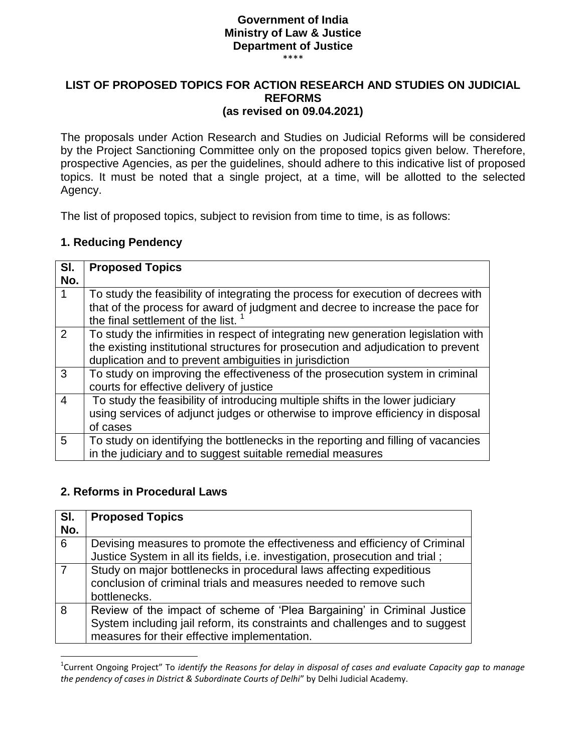## **Government of India Ministry of Law & Justice Department of Justice**

\*\*\*\*

#### **LIST OF PROPOSED TOPICS FOR ACTION RESEARCH AND STUDIES ON JUDICIAL REFORMS (as revised on 09.04.2021)**

The proposals under Action Research and Studies on Judicial Reforms will be considered by the Project Sanctioning Committee only on the proposed topics given below. Therefore, prospective Agencies, as per the guidelines, should adhere to this indicative list of proposed topics. It must be noted that a single project, at a time, will be allotted to the selected Agency.

The list of proposed topics, subject to revision from time to time, is as follows:

### **1. Reducing Pendency**

| SI.<br>No. | <b>Proposed Topics</b>                                                                                                                                                                                                            |
|------------|-----------------------------------------------------------------------------------------------------------------------------------------------------------------------------------------------------------------------------------|
|            | To study the feasibility of integrating the process for execution of decrees with<br>that of the process for award of judgment and decree to increase the pace for<br>the final settlement of the list.                           |
| 2          | To study the infirmities in respect of integrating new generation legislation with<br>the existing institutional structures for prosecution and adjudication to prevent<br>duplication and to prevent ambiguities in jurisdiction |
| 3          | To study on improving the effectiveness of the prosecution system in criminal<br>courts for effective delivery of justice                                                                                                         |
| 4          | To study the feasibility of introducing multiple shifts in the lower judiciary<br>using services of adjunct judges or otherwise to improve efficiency in disposal<br>of cases                                                     |
| 5          | To study on identifying the bottlenecks in the reporting and filling of vacancies<br>in the judiciary and to suggest suitable remedial measures                                                                                   |

#### **2. Reforms in Procedural Laws**

l

| SI.<br>No.     | <b>Proposed Topics</b>                                                                                                                                                                                 |
|----------------|--------------------------------------------------------------------------------------------------------------------------------------------------------------------------------------------------------|
| 6              | Devising measures to promote the effectiveness and efficiency of Criminal<br>Justice System in all its fields, i.e. investigation, prosecution and trial;                                              |
| $\overline{7}$ | Study on major bottlenecks in procedural laws affecting expeditious<br>conclusion of criminal trials and measures needed to remove such<br>bottlenecks.                                                |
| 8              | Review of the impact of scheme of 'Plea Bargaining' in Criminal Justice<br>System including jail reform, its constraints and challenges and to suggest<br>measures for their effective implementation. |

<sup>1</sup> Current Ongoing Project" To *identify the Reasons for delay in disposal of cases and evaluate Capacity gap to manage the pendency of cases in District & Subordinate Courts of Delhi*" by Delhi Judicial Academy.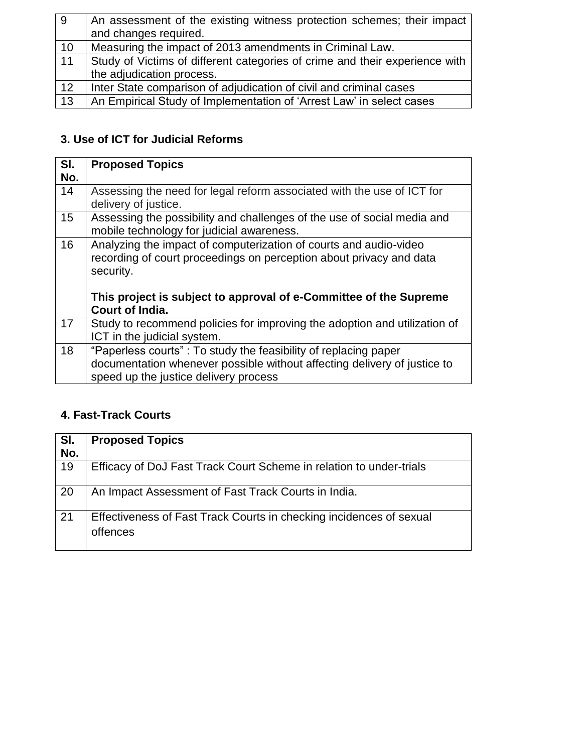| 9  | An assessment of the existing witness protection schemes; their impact      |
|----|-----------------------------------------------------------------------------|
|    | and changes required.                                                       |
| 10 | Measuring the impact of 2013 amendments in Criminal Law.                    |
| 11 | Study of Victims of different categories of crime and their experience with |
|    | the adjudication process.                                                   |
| 12 | Inter State comparison of adjudication of civil and criminal cases          |
| 13 | An Empirical Study of Implementation of 'Arrest Law' in select cases        |

# **3. Use of ICT for Judicial Reforms**

| SI.<br>No. | <b>Proposed Topics</b>                                                                                                                                                                                                                               |
|------------|------------------------------------------------------------------------------------------------------------------------------------------------------------------------------------------------------------------------------------------------------|
| 14         | Assessing the need for legal reform associated with the use of ICT for<br>delivery of justice.                                                                                                                                                       |
| 15         | Assessing the possibility and challenges of the use of social media and<br>mobile technology for judicial awareness.                                                                                                                                 |
| 16         | Analyzing the impact of computerization of courts and audio-video<br>recording of court proceedings on perception about privacy and data<br>security.<br>This project is subject to approval of e-Committee of the Supreme<br><b>Court of India.</b> |
| 17         | Study to recommend policies for improving the adoption and utilization of<br>ICT in the judicial system.                                                                                                                                             |
| 18         | "Paperless courts": To study the feasibility of replacing paper<br>documentation whenever possible without affecting delivery of justice to<br>speed up the justice delivery process                                                                 |

# **4. Fast-Track Courts**

| SI. | <b>Proposed Topics</b>                                                          |
|-----|---------------------------------------------------------------------------------|
| No. |                                                                                 |
| 19  | Efficacy of DoJ Fast Track Court Scheme in relation to under-trials             |
| 20  | An Impact Assessment of Fast Track Courts in India.                             |
| 21  | Effectiveness of Fast Track Courts in checking incidences of sexual<br>offences |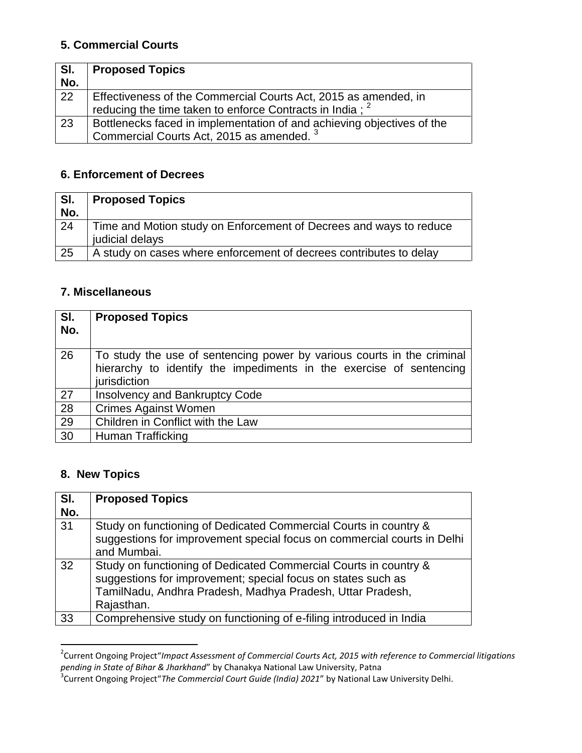# **5. Commercial Courts**

| SI.<br>No.      | <b>Proposed Topics</b>                                                                                                                  |
|-----------------|-----------------------------------------------------------------------------------------------------------------------------------------|
| $\overline{22}$ | Effectiveness of the Commercial Courts Act, 2015 as amended, in<br>reducing the time taken to enforce Contracts in India : <sup>2</sup> |
| 23              | Bottlenecks faced in implementation of and achieving objectives of the<br>Commercial Courts Act, 2015 as amended. <sup>3</sup>          |

# **6. Enforcement of Decrees**

| SI.<br>No. | <b>Proposed Topics</b>                                                                |
|------------|---------------------------------------------------------------------------------------|
| 24         | Time and Motion study on Enforcement of Decrees and ways to reduce<br>judicial delays |
| 25         | A study on cases where enforcement of decrees contributes to delay                    |

### **7. Miscellaneous**

| SI.<br>No. | <b>Proposed Topics</b>                                                                                                                                        |
|------------|---------------------------------------------------------------------------------------------------------------------------------------------------------------|
| 26         | To study the use of sentencing power by various courts in the criminal<br>hierarchy to identify the impediments in the exercise of sentencing<br>jurisdiction |
| 27         | <b>Insolvency and Bankruptcy Code</b>                                                                                                                         |
| 28         | <b>Crimes Against Women</b>                                                                                                                                   |
| 29         | Children in Conflict with the Law                                                                                                                             |
| 30         | Human Trafficking                                                                                                                                             |

## **8. New Topics**

| SI.<br>No. | <b>Proposed Topics</b>                                                                                                                                                                                      |
|------------|-------------------------------------------------------------------------------------------------------------------------------------------------------------------------------------------------------------|
| 31         | Study on functioning of Dedicated Commercial Courts in country &<br>suggestions for improvement special focus on commercial courts in Delhi<br>and Mumbai.                                                  |
| 32         | Study on functioning of Dedicated Commercial Courts in country &<br>suggestions for improvement; special focus on states such as<br>TamilNadu, Andhra Pradesh, Madhya Pradesh, Uttar Pradesh,<br>Rajasthan. |
| 33         | Comprehensive study on functioning of e-filing introduced in India                                                                                                                                          |

 2 Current Ongoing Project"*Impact Assessment of Commercial Courts Act, 2015 with reference to Commercial litigations* 

*pending in State of Bihar & Jharkhand*" by Chanakya National Law University, Patna 3 Current Ongoing Project"*The Commercial Court Guide (India) 2021*" by National Law University Delhi.